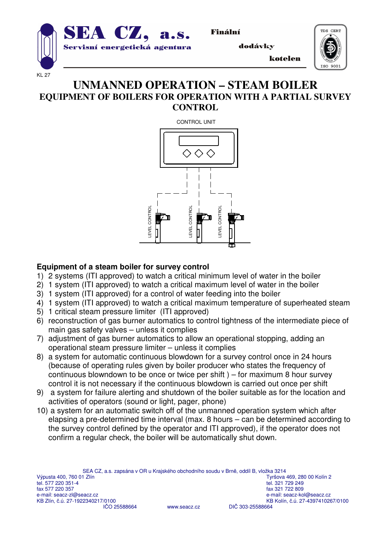

Finální

dodávky

kotelen



KL 27

## **UNMANNED OPERATION – STEAM BOILER EQUIPMENT OF BOILERS FOR OPERATION WITH A PARTIAL SURVEY CONTROL**



## **Equipment of a steam boiler for survey control**

- 1) 2 systems (ITI approved) to watch a critical minimum level of water in the boiler
- 2) 1 system (ITI approved) to watch a critical maximum level of water in the boiler
- 3) 1 system (ITI approved) for a control of water feeding into the boiler
- 4) 1 system (ITI approved) to watch a critical maximum temperature of superheated steam
- 5) 1 critical steam pressure limiter (ITI approved)
- 6) reconstruction of gas burner automatics to control tightness of the intermediate piece of main gas safety valves – unless it complies
- 7) adjustment of gas burner automatics to allow an operational stopping, adding an operational steam pressure limiter – unless it complies
- 8) a system for automatic continuous blowdown for a survey control once in 24 hours (because of operating rules given by boiler producer who states the frequency of continuous blowndown to be once or twice per shift ) – for maximum 8 hour survey control it is not necessary if the continuous blowdown is carried out once per shift
- 9) a system for failure alerting and shutdown of the boiler suitable as for the location and activities of operators (sound or light, pager, phone)
- 10) a system for an automatic switch off of the unmanned operation system which after elapsing a pre-determined time interval (max. 8 hours – can be determined according to the survey control defined by the operator and ITI approved), if the operator does not confirm a regular check, the boiler will be automatically shut down.